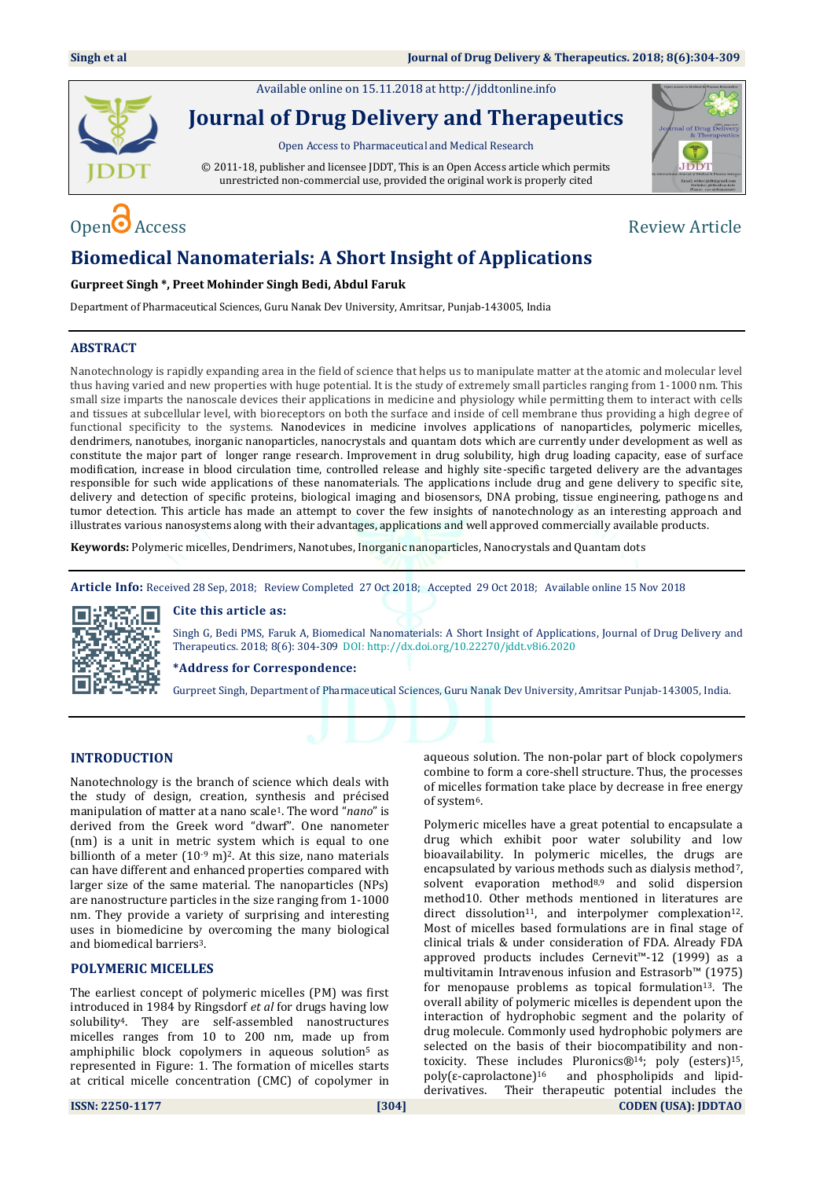Available online on 15.11.2018 a[t http://jddtonline.info](http://jddtonline.info/)



**Journal of Drug Delivery and Therapeutics**

Open Access to Pharmaceutical and Medical Research

© 2011-18, publisher and licensee JDDT, This is an Open Access article which permits unrestricted non-commercial use, provided the original work is properly cited



# $\Omega$  Access  $\Omega$  Access  $\Omega$  and  $\Omega$  are  $\Omega$  and  $\Omega$  are  $\Omega$  are  $\Omega$  are  $\Omega$  are  $\Omega$  are  $\Omega$  and  $\Omega$  are  $\Omega$  and  $\Omega$  are  $\Omega$  and  $\Omega$  are  $\Omega$  and  $\Omega$  are  $\Omega$  and  $\Omega$  are  $\Omega$  and  $\Omega$  are  $\Omega$  and  $\Omega$  are

## **Biomedical Nanomaterials: A Short Insight of Applications**

#### **Gurpreet Singh \*, Preet Mohinder Singh Bedi, Abdul Faruk**

Department of Pharmaceutical Sciences, Guru Nanak Dev University, Amritsar, Punjab-143005, India

### **ABSTRACT**

Nanotechnology is rapidly expanding area in the field of science that helps us to manipulate matter at the atomic and molecular level thus having varied and new properties with huge potential. It is the study of extremely small particles ranging from 1-1000 nm. This small size imparts the nanoscale devices their applications in medicine and physiology while permitting them to interact with cells and tissues at subcellular level, with bioreceptors on both the surface and inside of cell membrane thus providing a high degree of functional specificity to the systems. Nanodevices in medicine involves applications of nanoparticles, polymeric micelles, dendrimers, nanotubes, inorganic nanoparticles, nanocrystals and quantam dots which are currently under development as well as constitute the major part of longer range research. Improvement in drug solubility, high drug loading capacity, ease of surface modification, increase in blood circulation time, controlled release and highly site-specific targeted delivery are the advantages responsible for such wide applications of these nanomaterials. The applications include drug and gene delivery to specific site, delivery and detection of specific proteins, biological imaging and biosensors, DNA probing, tissue engineering, pathogens and tumor detection. This article has made an attempt to cover the few insights of nanotechnology as an interesting approach and illustrates various nanosystems along with their advantages, applications and well approved commercially available products.

**Keywords:** Polymeric micelles, Dendrimers, Nanotubes, Inorganic nanoparticles, Nanocrystals and Quantam dots

**Article Info:** Received 28 Sep, 2018; Review Completed 27 Oct 2018; Accepted 29 Oct 2018; Available online 15 Nov 2018



#### **Cite this article as:**

Singh G, Bedi PMS, Faruk A, Biomedical Nanomaterials: A Short Insight of Applications, Journal of Drug Delivery and Therapeutics. 2018; 8(6): 304-309 DOI: <http://dx.doi.org/10.22270/jddt.v8i6.2020>

**\*Address for Correspondence:** 

Gurpreet Singh, Department of Pharmaceutical Sciences, Guru Nanak Dev University, Amritsar Punjab-143005, India.

#### **INTRODUCTION**

Nanotechnology is the branch of science which deals with the study of design, creation, synthesis and précised manipulation of matter at a nano scale1. The word "*nano*" is derived from the Greek word "dwarf". One nanometer (nm) is a unit in metric system which is equal to one billionth of a meter  $(10<sup>-9</sup> m)<sup>2</sup>$ . At this size, nano materials can have different and enhanced properties compared with larger size of the same material. The nanoparticles (NPs) are nanostructure particles in the size ranging from 1-1000 nm. They provide a variety of surprising and interesting uses in biomedicine by overcoming the many biological and biomedical barriers3.

#### **POLYMERIC MICELLES**

The earliest concept of polymeric micelles (PM) was first introduced in 1984 by Ringsdorf *et al* for drugs having low solubility4. They are self-assembled nanostructures micelles ranges from 10 to 200 nm, made up from amphiphilic block copolymers in aqueous solution<sup>5</sup> as represented in Figure: 1. The formation of micelles starts at critical micelle concentration (CMC) of copolymer in aqueous solution. The non-polar part of block copolymers combine to form a core-shell structure. Thus, the processes of micelles formation take place by decrease in free energy of system6.

**ISSN: 2250-1177 [304] CODEN (USA): JDDTAO** Polymeric micelles have a great potential to encapsulate a drug which exhibit poor water solubility and low bioavailability. In polymeric micelles, the drugs are encapsulated by various methods such as dialysis method<sup>7</sup>, solvent evaporation method<sup>8,9</sup> and solid dispersion method10. Other methods mentioned in literatures are direct dissolution<sup>11</sup>, and interpolymer complexation<sup>12</sup>. Most of micelles based formulations are in final stage of clinical trials & under consideration of FDA. Already FDA approved products includes Cernevit™-12 (1999) as a multivitamin Intravenous infusion and Estrasorb™ (1975) for menopause problems as topical formulation<sup>13</sup>. The overall ability of polymeric micelles is dependent upon the interaction of hydrophobic segment and the polarity of drug molecule. Commonly used hydrophobic polymers are selected on the basis of their biocompatibility and nontoxicity. These includes Pluronics®<sup>14</sup>; poly (esters)<sup>15</sup>, poly( $\varepsilon$ -caprolactone)<sup>16</sup> and phospholipids and lipidderivatives. Their therapeutic potential includes the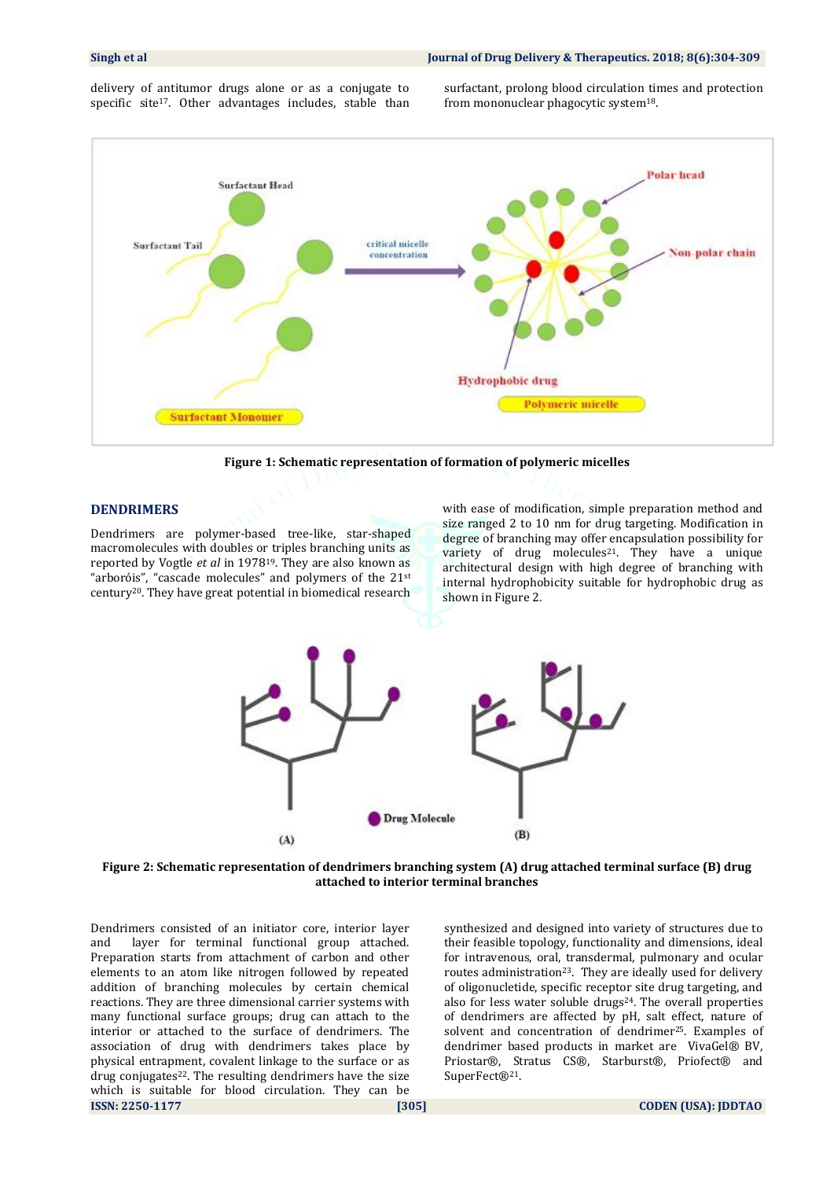delivery of antitumor drugs alone or as a conjugate to specific site<sup>17</sup>. Other advantages includes, stable than surfactant, prolong blood circulation times and protection from mononuclear phagocytic system18.



**Figure 1: Schematic representation of formation of polymeric micelles**

#### **DENDRIMERS**

Dendrimers are polymer-based tree-like, star-shaped macromolecules with doubles or triples branching units as reported by Vogtle *et al* in 197819. They are also known as "arboróis", "cascade molecules" and polymers of the 21st century20. They have great potential in biomedical research with ease of modification, simple preparation method and size ranged 2 to 10 nm for drug targeting. Modification in degree of branching may offer encapsulation possibility for variety of drug molecules<sup>21</sup>. They have a unique architectural design with high degree of branching with internal hydrophobicity suitable for hydrophobic drug as shown in Figure 2.



**Figure 2: Schematic representation of dendrimers branching system (A) drug attached terminal surface (B) drug attached to interior terminal branches**

**ISSN: 2250-1177 [305] CODEN (USA): JDDTAO** Dendrimers consisted of an initiator core, interior layer and layer for terminal functional group attached. Preparation starts from attachment of carbon and other elements to an atom like nitrogen followed by repeated addition of branching molecules by certain chemical reactions. They are three dimensional carrier systems with many functional surface groups; drug can attach to the interior or attached to the surface of dendrimers. The association of drug with dendrimers takes place by physical entrapment, covalent linkage to the surface or as drug conjugates<sup>22</sup>. The resulting dendrimers have the size which is suitable for blood circulation. They can be

synthesized and designed into variety of structures due to their feasible topology, functionality and dimensions, ideal for intravenous, oral, transdermal, pulmonary and ocular routes administration<sup>23</sup>. They are ideally used for delivery of oligonucletide, specific receptor site drug targeting, and also for less water soluble drugs<sup>24</sup>. The overall properties of dendrimers are affected by pH, salt effect, nature of solvent and concentration of dendrimer<sup>25</sup>. Examples of dendrimer based products in market are VivaGel® BV, Priostar®, Stratus CS®, Starburst®, Priofect® and SuperFect®21.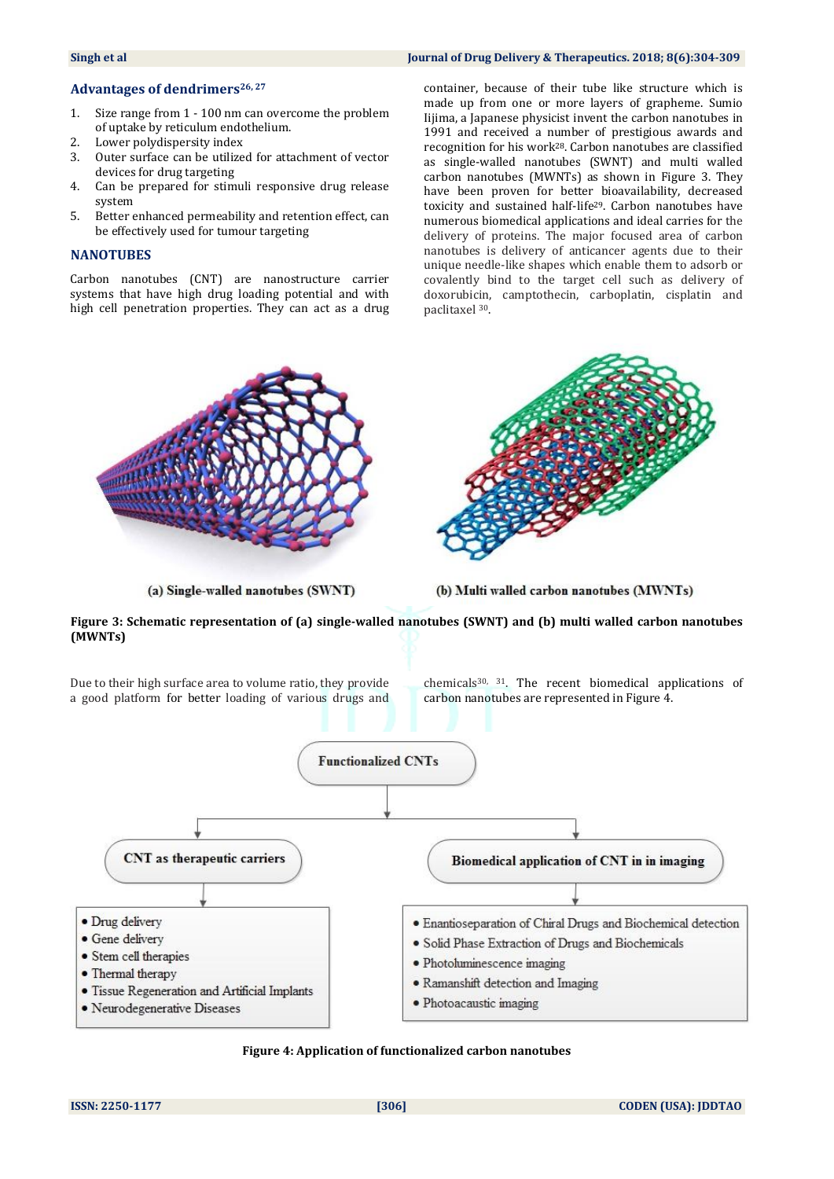### **Advantages of dendrimers26, <sup>27</sup>**

- 1. Size range from 1 100 nm can overcome the problem of uptake by reticulum endothelium.
- 2. Lower polydispersity index
- 3. Outer surface can be utilized for attachment of vector devices for drug targeting
- 4. Can be prepared for stimuli responsive drug release system
- 5. Better enhanced permeability and retention effect, can be effectively used for tumour targeting

### **NANOTUBES**

Carbon nanotubes (CNT) are nanostructure carrier systems that have high drug loading potential and with high cell penetration properties. They can act as a drug

container, because of their tube like structure which is made up from one or more layers of grapheme. Sumio Iijima, a Japanese physicist invent the carbon nanotubes in 1991 and received a number of prestigious awards and recognition for his work28. Carbon nanotubes are classified as single-walled nanotubes (SWNT) and multi walled carbon nanotubes (MWNTs) as shown in Figure 3. They have been proven for better bioavailability, decreased toxicity and sustained half-life29. Carbon nanotubes have numerous biomedical applications and ideal carries for the delivery of proteins. The major focused area of carbon

nanotubes is delivery of anticancer agents due to their unique needle-like shapes which enable them to adsorb or covalently bind to the target cell such as delivery of doxorubicin, camptothecin, carboplatin, cisplatin and paclitaxel <sup>30</sup>.



(a) Single-walled nanotubes (SWNT)

(b) Multi walled carbon nanotubes (MWNTs)

**Figure 3: Schematic representation of (a) single-walled nanotubes (SWNT) and (b) multi walled carbon nanotubes (MWNTs)** 

Due to their high surface area to volume ratio, they provide a good platform for better loading of various drugs and

chemicals30, <sup>31</sup>. The recent biomedical applications of carbon nanotubes are represented in Figure 4.



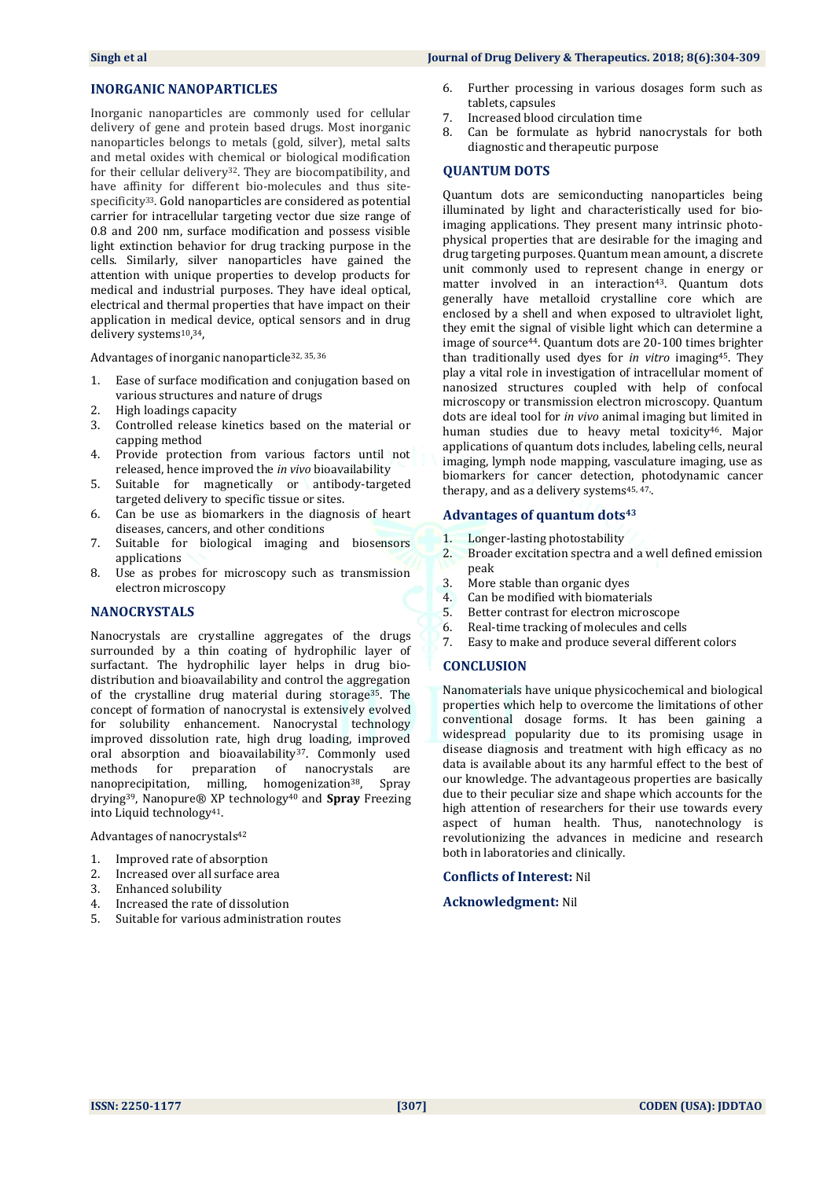#### **Singh et al Journal of Drug Delivery & Therapeutics. 2018; 8(6):304-309**

#### **INORGANIC NANOPARTICLES**

Inorganic nanoparticles are commonly used for cellular delivery of gene and protein based drugs. Most inorganic nanoparticles belongs to metals (gold, silver), metal salts and metal oxides with chemical or biological modification for their cellular delivery<sup>32</sup>. They are biocompatibility, and have affinity for different bio-molecules and thus sitespecificity<sup>33</sup>. Gold nanoparticles are considered as potential carrier for intracellular targeting vector due size range of 0.8 and 200 nm, surface modification and possess visible light extinction behavior for drug tracking purpose in the cells. Similarly, silver nanoparticles have gained the attention with unique properties to develop products for medical and industrial purposes. They have ideal optical, electrical and thermal properties that have impact on their application in medical device, optical sensors and in drug delivery systems<sup>10</sup>,<sup>34</sup>,

Advantages of inorganic nanoparticle32, 35, <sup>36</sup>

- 1. Ease of surface modification and conjugation based on various structures and nature of drugs
- 2. High loadings capacity
- 3. Controlled release kinetics based on the material or capping method
- 4. Provide protection from various factors until not released, hence improved the *in vivo* bioavailability
- 5. Suitable for magnetically or antibody-targeted targeted delivery to specific tissue or sites.
- 6. Can be use as biomarkers in the diagnosis of heart diseases, cancers, and other conditions
- 7. Suitable for biological imaging and biosensors applications
- 8. Use as probes for microscopy such as transmission electron microscopy

#### **NANOCRYSTALS**

Nanocrystals are crystalline aggregates of the drugs surrounded by a thin coating of hydrophilic layer of surfactant. The hydrophilic layer helps in drug biodistribution and bioavailability and control the aggregation of the crystalline drug material during storage<sup>35</sup>. The concept of formation of nanocrystal is extensively evolved for solubility enhancement. Nanocrystal technology improved dissolution rate, high drug loading, improved oral absorption and bioavailability<sup>37</sup>. Commonly used methods for preparation of nanocrystals are nanoprecipitation, milling, homogenization<sup>38</sup>, Spray drying39, Nanopure® XP technology<sup>40</sup> and **Spray** Freezing into Liquid technology41.

Advantages of nanocrystals<sup>42</sup>

- 1. Improved rate of absorption
- 2. Increased over all surface area
- 3. Enhanced solubility
- 4. Increased the rate of dissolution
- 5. Suitable for various administration routes
- 6. Further processing in various dosages form such as tablets, capsules
- 7. Increased blood circulation time
- 8. Can be formulate as hybrid nanocrystals for both diagnostic and therapeutic purpose

#### **QUANTUM DOTS**

Quantum dots are semiconducting nanoparticles being illuminated by light and characteristically used for bioimaging applications. They present many intrinsic photophysical properties that are desirable for the imaging and drug targeting purposes. Quantum mean amount, a discrete unit commonly used to represent change in energy or matter involved in an interaction<sup>43</sup>. Quantum dots generally have metalloid crystalline core which are enclosed by a shell and when exposed to ultraviolet light, they emit the signal of visible light which can determine a image of source44. Quantum dots are 20-100 times brighter than traditionally used dyes for *in vitro* imaging45. They play a vital role in investigation of intracellular moment of nanosized structures coupled with help of confocal microscopy or transmission electron microscopy. Quantum dots are ideal tool for *in vivo* animal imaging but limited in human studies due to heavy metal toxicity<sup>46</sup>. Major applications of quantum dots includes, labeling cells, neural imaging, lymph node mapping, vasculature imaging, use as biomarkers for cancer detection, photodynamic cancer therapy, and as a delivery systems<sup>45, 47</sup>.

#### **Advantages of quantum dots<sup>43</sup>**

- 1. Longer-lasting photostability
- 2. Broader excitation spectra and a well defined emission peak
- 3. More stable than organic dyes
- 4. Can be modified with biomaterials
- 5. Better contrast for electron microscope
- 6. Real-time tracking of molecules and cells
- 7. Easy to make and produce several different colors

#### **CONCLUSION**

Nanomaterials have unique physicochemical and biological properties which help to overcome the limitations of other conventional dosage forms. It has been gaining a widespread popularity due to its promising usage in disease diagnosis and treatment with high efficacy as no data is available about its any harmful effect to the best of our knowledge. The advantageous properties are basically due to their peculiar size and shape which accounts for the high attention of researchers for their use towards every aspect of human health. Thus, nanotechnology is revolutionizing the advances in medicine and research both in laboratories and clinically.

#### **Conflicts of Interest:** Nil

#### **Acknowledgment:** Nil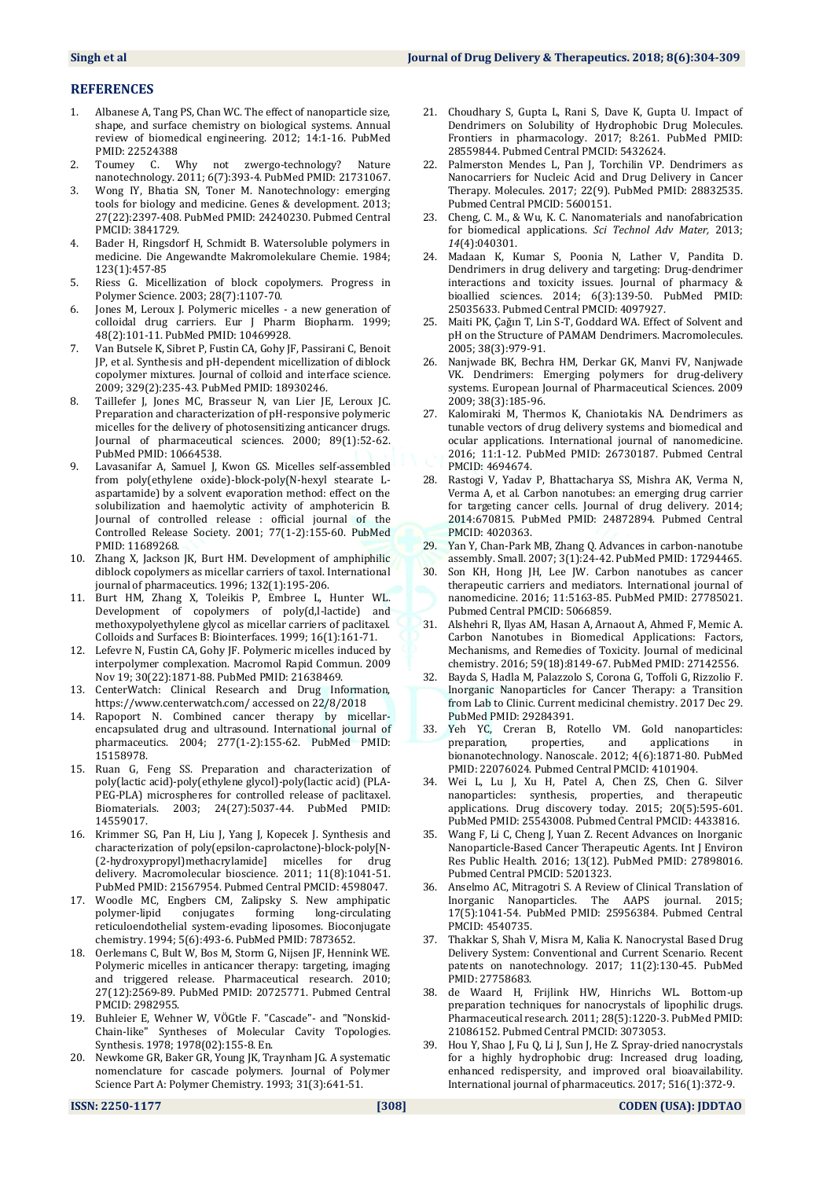#### **REFERENCES**

- 1. Albanese A, Tang PS, Chan WC. The effect of nanoparticle size, shape, and surface chemistry on biological systems. Annual review of biomedical engineering. 2012; 14:1-16. PubMed PMID: 22524388
- 2. Toumey C. Why not zwergo-technology? Nature nanotechnology. 2011; 6(7):393-4. PubMed PMID: 21731067.
- 3. Wong IY, Bhatia SN, Toner M. Nanotechnology: emerging tools for biology and medicine. Genes & development. 2013; 27(22):2397-408. PubMed PMID: 24240230. Pubmed Central PMCID: 3841729.
- 4. Bader H, Ringsdorf H, Schmidt B. Watersoluble polymers in medicine. Die Angewandte Makromolekulare Chemie. 1984; 123(1):457-85
- 5. Riess G. Micellization of block copolymers. Progress in Polymer Science. 2003; 28(7):1107-70.
- 6. Jones M, Leroux J. Polymeric micelles a new generation of colloidal drug carriers. Eur J Pharm Biopharm. 1999; 48(2):101-11. PubMed PMID: 10469928.
- 7. Van Butsele K, Sibret P, Fustin CA, Gohy JF, Passirani C, Benoit JP, et al. Synthesis and pH-dependent micellization of diblock copolymer mixtures. Journal of colloid and interface science. 2009; 329(2):235-43. PubMed PMID: 18930246.
- 8. Taillefer J, Jones MC, Brasseur N, van Lier JE, Leroux JC. Preparation and characterization of pH-responsive polymeric micelles for the delivery of photosensitizing anticancer drugs. Journal of pharmaceutical sciences. 2000; 89(1):52-62. PubMed PMID: 10664538.
- 9. Lavasanifar A, Samuel J, Kwon GS. Micelles self-assembled from poly(ethylene oxide)-block-poly(N-hexyl stearate Laspartamide) by a solvent evaporation method: effect on the solubilization and haemolytic activity of amphotericin B. Journal of controlled release : official journal of the Controlled Release Society. 2001; 77(1-2):155-60. PubMed PMID: 11689268.
- 10. Zhang X, Jackson JK, Burt HM. Development of amphiphilic diblock copolymers as micellar carriers of taxol. International journal of pharmaceutics. 1996; 132(1):195-206.
- 11. Burt HM, Zhang X, Toleikis P, Embree L, Hunter WL. Development of copolymers of poly(d,l-lactide) and methoxypolyethylene glycol as micellar carriers of paclitaxel. Colloids and Surfaces B: Biointerfaces. 1999; 16(1):161-71.
- 12. Lefevre N, Fustin CA, Gohy JF. Polymeric micelles induced by interpolymer complexation. Macromol Rapid Commun. 2009 Nov 19; 30(22):1871-88. PubMed PMID: 21638469.
- 13. CenterWatch: Clinical Research and Drug Information, https://www.centerwatch.com/ accessed on 22/8/2018
- 14. Rapoport N. Combined cancer therapy by micellarencapsulated drug and ultrasound. International journal of pharmaceutics. 2004; 277(1-2):155-62. PubMed PMID: 15158978.
- 15. Ruan G, Feng SS. Preparation and characterization of poly(lactic acid)-poly(ethylene glycol)-poly(lactic acid) (PLA-PEG-PLA) microspheres for controlled release of paclitaxel. Biomaterials. 2003; 24(27):5037-44. PubMed PMID: 14559017.
- 16. Krimmer SG, Pan H, Liu J, Yang J, Kopecek J. Synthesis and characterization of poly(epsilon-caprolactone)-block-poly[N- (2-hydroxypropyl)methacrylamide] micelles for drug delivery. Macromolecular bioscience. 2011; 11(8):1041-51. PubMed PMID: 21567954. Pubmed Central PMCID: 4598047.
- 17. Woodle MC, Engbers CM, Zalipsky S. New amphipatic polymer-lipid conjugates forming long-circulating reticuloendothelial system-evading liposomes. Bioconjugate chemistry. 1994; 5(6):493-6. PubMed PMID: 7873652.
- 18. Oerlemans C, Bult W, Bos M, Storm G, Nijsen JF, Hennink WE. Polymeric micelles in anticancer therapy: targeting, imaging and triggered release. Pharmaceutical research. 2010; 27(12):2569-89. PubMed PMID: 20725771. Pubmed Central PMCID: 2982955.
- 19. Buhleier E, Wehner W, VÖGtle F. "Cascade"- and "Nonskid-Chain-like" Syntheses of Molecular Cavity Topologies. Synthesis. 1978; 1978(02):155-8. En.
- 20. Newkome GR, Baker GR, Young JK, Traynham JG. A systematic nomenclature for cascade polymers. Journal of Polymer Science Part A: Polymer Chemistry. 1993; 31(3):641-51.
- 21. Choudhary S, Gupta L, Rani S, Dave K, Gupta U. Impact of Dendrimers on Solubility of Hydrophobic Drug Molecules. Frontiers in pharmacology. 2017; 8:261. PubMed PMID: 28559844. Pubmed Central PMCID: 5432624.
- 22. Palmerston Mendes L, Pan J, Torchilin VP. Dendrimers as Nanocarriers for Nucleic Acid and Drug Delivery in Cancer Therapy. Molecules. 2017; 22(9). PubMed PMID: 28832535. Pubmed Central PMCID: 5600151.
- 23. Cheng, C. M., & Wu, K. C. Nanomaterials and nanofabrication for biomedical applications. *Sci Technol Adv Mater,* 2013; *14*(4):040301.
- 24. Madaan K, Kumar S, Poonia N, Lather V, Pandita D. Dendrimers in drug delivery and targeting: Drug-dendrimer interactions and toxicity issues. Journal of pharmacy & bioallied sciences. 2014; 6(3):139-50. PubMed PMID: 25035633. Pubmed Central PMCID: 4097927.
- 25. Maiti PK, Çaǧın T, Lin S-T, Goddard WA. Effect of Solvent and pH on the Structure of PAMAM Dendrimers. Macromolecules. 2005; 38(3):979-91.
- 26. Nanjwade BK, Bechra HM, Derkar GK, Manvi FV, Nanjwade VK. Dendrimers: Emerging polymers for drug-delivery systems. European Journal of Pharmaceutical Sciences. 2009 2009; 38(3):185-96.
- 27. Kalomiraki M, Thermos K, Chaniotakis NA. Dendrimers as tunable vectors of drug delivery systems and biomedical and ocular applications. International journal of nanomedicine. 2016; 11:1-12. PubMed PMID: 26730187. Pubmed Central PMCID: 4694674.
- 28. Rastogi V, Yadav P, Bhattacharya SS, Mishra AK, Verma N, Verma A, et al. Carbon nanotubes: an emerging drug carrier for targeting cancer cells. Journal of drug delivery. 2014; 2014:670815. PubMed PMID: 24872894. Pubmed Central PMCID: 4020363.
- 29. Yan Y, Chan-Park MB, Zhang Q. Advances in carbon-nanotube assembly. Small. 2007; 3(1):24-42. PubMed PMID: 17294465.
- 30. Son KH, Hong JH, Lee JW. Carbon nanotubes as cancer therapeutic carriers and mediators. International journal of nanomedicine. 2016; 11:5163-85. PubMed PMID: 27785021. Pubmed Central PMCID: 5066859.
- 31. Alshehri R, Ilyas AM, Hasan A, Arnaout A, Ahmed F, Memic A. Carbon Nanotubes in Biomedical Applications: Factors, Mechanisms, and Remedies of Toxicity. Journal of medicinal chemistry. 2016; 59(18):8149-67. PubMed PMID: 27142556.
- 32. Bayda S, Hadla M, Palazzolo S, Corona G, Toffoli G, Rizzolio F. Inorganic Nanoparticles for Cancer Therapy: a Transition from Lab to Clinic. Current medicinal chemistry. 2017 Dec 29. PubMed PMID: 29284391.
- 33. Yeh YC, Creran B, Rotello VM. Gold nanoparticles: preparation, properties, and applications bionanotechnology. Nanoscale. 2012; 4(6):1871-80. PubMed PMID: 22076024. Pubmed Central PMCID: 4101904.
- 34. Wei L, Lu J, Xu H, Patel A, Chen ZS, Chen G. Silver nanoparticles: synthesis, properties, and therapeutic applications. Drug discovery today. 2015; 20(5):595-601. PubMed PMID: 25543008. Pubmed Central PMCID: 4433816.
- 35. Wang F, Li C, Cheng J, Yuan Z. Recent Advances on Inorganic Nanoparticle-Based Cancer Therapeutic Agents. Int J Environ Res Public Health. 2016; 13(12). PubMed PMID: 27898016. Pubmed Central PMCID: 5201323.
- 36. Anselmo AC, Mitragotri S. A Review of Clinical Translation of Inorganic Nanoparticles. The AAPS journal. 2015; 17(5):1041-54. PubMed PMID: 25956384. Pubmed Central PMCID: 4540735.
- 37. Thakkar S, Shah V, Misra M, Kalia K. Nanocrystal Based Drug Delivery System: Conventional and Current Scenario. Recent patents on nanotechnology. 2017; 11(2):130-45. PubMed PMID: 27758683.
- 38. de Waard H, Frijlink HW, Hinrichs WL. Bottom-up preparation techniques for nanocrystals of lipophilic drugs. Pharmaceutical research. 2011; 28(5):1220-3. PubMed PMID: 21086152. Pubmed Central PMCID: 3073053.
- Hou Y, Shao J, Fu Q, Li J, Sun J, He Z. Spray-dried nanocrystals for a highly hydrophobic drug: Increased drug loading, enhanced redispersity, and improved oral bioavailability. International journal of pharmaceutics. 2017; 516(1):372-9.